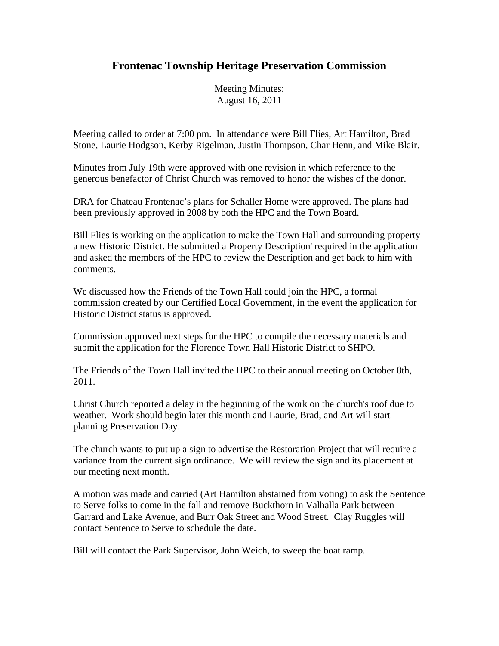## **Frontenac Township Heritage Preservation Commission**

Meeting Minutes: August 16, 2011

Meeting called to order at 7:00 pm. In attendance were Bill Flies, Art Hamilton, Brad Stone, Laurie Hodgson, Kerby Rigelman, Justin Thompson, Char Henn, and Mike Blair.

Minutes from July 19th were approved with one revision in which reference to the generous benefactor of Christ Church was removed to honor the wishes of the donor.

DRA for Chateau Frontenac's plans for Schaller Home were approved. The plans had been previously approved in 2008 by both the HPC and the Town Board.

Bill Flies is working on the application to make the Town Hall and surrounding property a new Historic District. He submitted a Property Description' required in the application and asked the members of the HPC to review the Description and get back to him with comments.

We discussed how the Friends of the Town Hall could join the HPC, a formal commission created by our Certified Local Government, in the event the application for Historic District status is approved.

Commission approved next steps for the HPC to compile the necessary materials and submit the application for the Florence Town Hall Historic District to SHPO.

The Friends of the Town Hall invited the HPC to their annual meeting on October 8th, 2011.

Christ Church reported a delay in the beginning of the work on the church's roof due to weather. Work should begin later this month and Laurie, Brad, and Art will start planning Preservation Day.

The church wants to put up a sign to advertise the Restoration Project that will require a variance from the current sign ordinance. We will review the sign and its placement at our meeting next month.

A motion was made and carried (Art Hamilton abstained from voting) to ask the Sentence to Serve folks to come in the fall and remove Buckthorn in Valhalla Park between Garrard and Lake Avenue, and Burr Oak Street and Wood Street. Clay Ruggles will contact Sentence to Serve to schedule the date.

Bill will contact the Park Supervisor, John Weich, to sweep the boat ramp.